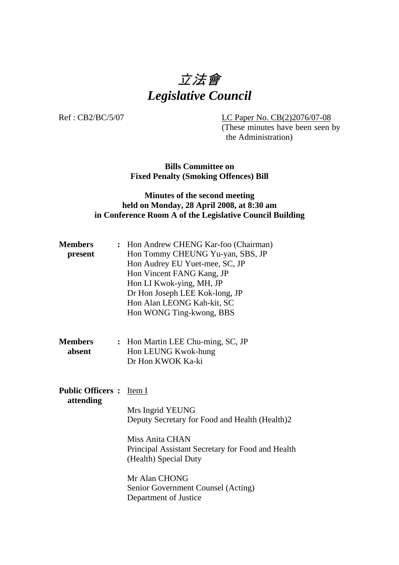# 立法會 *Legislative Council*

Ref : CB2/BC/5/07 LC Paper No. CB(2)2076/07-08

(These minutes have been seen by the Administration)

**Bills Committee on Fixed Penalty (Smoking Offences) Bill** 

# **Minutes of the second meeting held on Monday, 28 April 2008, at 8:30 am in Conference Room A of the Legislative Council Building**

| <b>Members</b><br>present                    | : Hon Andrew CHENG Kar-foo (Chairman)<br>Hon Tommy CHEUNG Yu-yan, SBS, JP<br>Hon Audrey EU Yuet-mee, SC, JP<br>Hon Vincent FANG Kang, JP<br>Hon LI Kwok-ying, MH, JP<br>Dr Hon Joseph LEE Kok-long, JP<br>Hon Alan LEONG Kah-kit, SC<br>Hon WONG Ting-kwong, BBS |
|----------------------------------------------|------------------------------------------------------------------------------------------------------------------------------------------------------------------------------------------------------------------------------------------------------------------|
| <b>Members</b><br>absent                     | : Hon Martin LEE Chu-ming, SC, JP<br>Hon LEUNG Kwok-hung<br>Dr Hon KWOK Ka-ki                                                                                                                                                                                    |
| <b>Public Officers :</b> Item I<br>attending | Mrs Ingrid YEUNG<br>Deputy Secretary for Food and Health (Health)2<br><b>Miss Anita CHAN</b><br>Principal Assistant Secretary for Food and Health<br>(Health) Special Duty<br>Mr Alan CHONG<br>Senior Government Counsel (Acting)<br>Department of Justice       |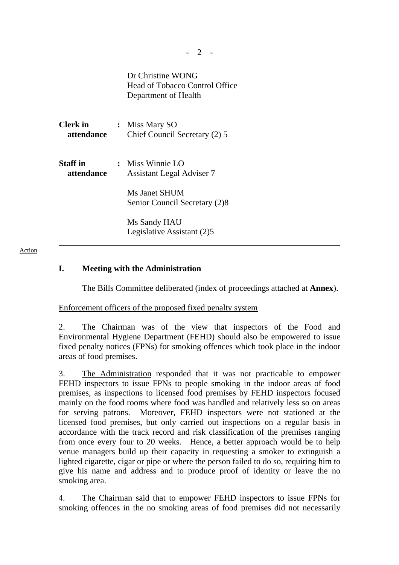Dr Christine WONG Head of Tobacco Control Office Department of Health

| <b>Clerk</b> in<br>attendance | $\ddot{\cdot}$ | Miss Mary SO<br>Chief Council Secretary (2) 5          |
|-------------------------------|----------------|--------------------------------------------------------|
| <b>Staff</b> in<br>attendance |                | : Miss Winnie $LO$<br><b>Assistant Legal Adviser 7</b> |
|                               |                | Ms Janet SHUM<br>Senior Council Secretary (2)8         |
|                               |                | Ms Sandy HAU<br>Legislative Assistant (2)5             |

Action

### **I. Meeting with the Administration**

The Bills Committee deliberated (index of proceedings attached at **Annex**).

Enforcement officers of the proposed fixed penalty system

2. The Chairman was of the view that inspectors of the Food and Environmental Hygiene Department (FEHD) should also be empowered to issue fixed penalty notices (FPNs) for smoking offences which took place in the indoor areas of food premises.

3. The Administration responded that it was not practicable to empower FEHD inspectors to issue FPNs to people smoking in the indoor areas of food premises, as inspections to licensed food premises by FEHD inspectors focused mainly on the food rooms where food was handled and relatively less so on areas for serving patrons. Moreover, FEHD inspectors were not stationed at the licensed food premises, but only carried out inspections on a regular basis in accordance with the track record and risk classification of the premises ranging from once every four to 20 weeks. Hence, a better approach would be to help venue managers build up their capacity in requesting a smoker to extinguish a lighted cigarette, cigar or pipe or where the person failed to do so, requiring him to give his name and address and to produce proof of identity or leave the no smoking area.

4. The Chairman said that to empower FEHD inspectors to issue FPNs for smoking offences in the no smoking areas of food premises did not necessarily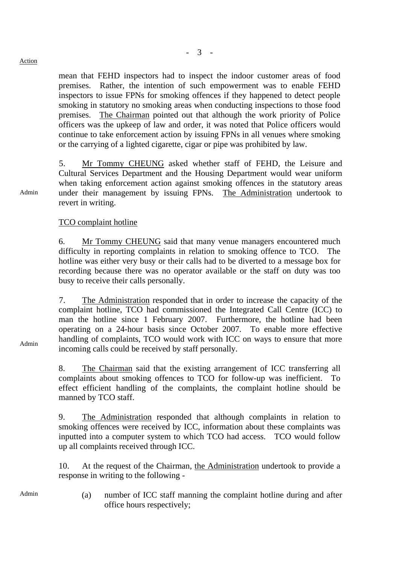#### Action

Admin

mean that FEHD inspectors had to inspect the indoor customer areas of food premises. Rather, the intention of such empowerment was to enable FEHD inspectors to issue FPNs for smoking offences if they happened to detect people smoking in statutory no smoking areas when conducting inspections to those food premises. The Chairman pointed out that although the work priority of Police officers was the upkeep of law and order, it was noted that Police officers would continue to take enforcement action by issuing FPNs in all venues where smoking or the carrying of a lighted cigarette, cigar or pipe was prohibited by law.

5. Mr Tommy CHEUNG asked whether staff of FEHD, the Leisure and Cultural Services Department and the Housing Department would wear uniform when taking enforcement action against smoking offences in the statutory areas under their management by issuing FPNs. The Administration undertook to revert in writing.

#### TCO complaint hotline

6. Mr Tommy CHEUNG said that many venue managers encountered much difficulty in reporting complaints in relation to smoking offence to TCO. The hotline was either very busy or their calls had to be diverted to a message box for recording because there was no operator available or the staff on duty was too busy to receive their calls personally.

7. The Administration responded that in order to increase the capacity of the complaint hotline, TCO had commissioned the Integrated Call Centre (ICC) to man the hotline since 1 February 2007. Furthermore, the hotline had been operating on a 24-hour basis since October 2007. To enable more effective handling of complaints, TCO would work with ICC on ways to ensure that more incoming calls could be received by staff personally.

8. The Chairman said that the existing arrangement of ICC transferring all complaints about smoking offences to TCO for follow-up was inefficient. To effect efficient handling of the complaints, the complaint hotline should be manned by TCO staff.

9. The Administration responded that although complaints in relation to smoking offences were received by ICC, information about these complaints was inputted into a computer system to which TCO had access. TCO would follow up all complaints received through ICC.

10. At the request of the Chairman, the Administration undertook to provide a response in writing to the following -

Admin (a) number of ICC staff manning the complaint hotline during and after office hours respectively;

Admin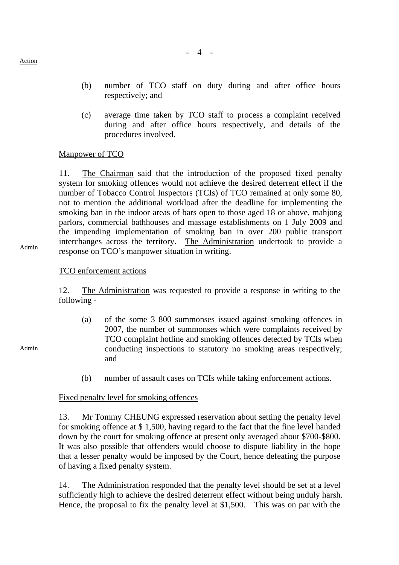- (b) number of TCO staff on duty during and after office hours respectively; and
- (c) average time taken by TCO staff to process a complaint received during and after office hours respectively, and details of the procedures involved.

### Manpower of TCO

11. The Chairman said that the introduction of the proposed fixed penalty system for smoking offences would not achieve the desired deterrent effect if the number of Tobacco Control Inspectors (TCIs) of TCO remained at only some 80, not to mention the additional workload after the deadline for implementing the smoking ban in the indoor areas of bars open to those aged 18 or above, mahjong parlors, commercial bathhouses and massage establishments on 1 July 2009 and the impending implementation of smoking ban in over 200 public transport interchanges across the territory. The Administration undertook to provide a response on TCO's manpower situation in writing.

Admin

Action

### TCO enforcement actions

12. The Administration was requested to provide a response in writing to the following -

- (a) of the some 3 800 summonses issued against smoking offences in 2007, the number of summonses which were complaints received by TCO complaint hotline and smoking offences detected by TCIs when conducting inspections to statutory no smoking areas respectively; and
- (b) number of assault cases on TCIs while taking enforcement actions.

#### Fixed penalty level for smoking offences

13. Mr Tommy CHEUNG expressed reservation about setting the penalty level for smoking offence at \$ 1,500, having regard to the fact that the fine level handed down by the court for smoking offence at present only averaged about \$700-\$800. It was also possible that offenders would choose to dispute liability in the hope that a lesser penalty would be imposed by the Court, hence defeating the purpose of having a fixed penalty system.

14. The Administration responded that the penalty level should be set at a level sufficiently high to achieve the desired deterrent effect without being unduly harsh. Hence, the proposal to fix the penalty level at \$1,500. This was on par with the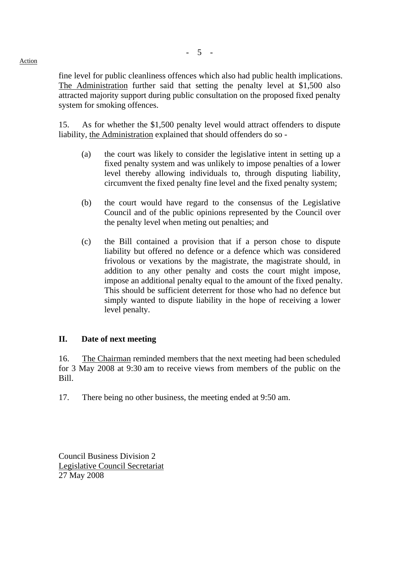Action

fine level for public cleanliness offences which also had public health implications. The Administration further said that setting the penalty level at \$1,500 also attracted majority support during public consultation on the proposed fixed penalty system for smoking offences.

15. As for whether the \$1,500 penalty level would attract offenders to dispute liability, the Administration explained that should offenders do so -

- (a) the court was likely to consider the legislative intent in setting up a fixed penalty system and was unlikely to impose penalties of a lower level thereby allowing individuals to, through disputing liability, circumvent the fixed penalty fine level and the fixed penalty system;
- (b) the court would have regard to the consensus of the Legislative Council and of the public opinions represented by the Council over the penalty level when meting out penalties; and
- (c) the Bill contained a provision that if a person chose to dispute liability but offered no defence or a defence which was considered frivolous or vexations by the magistrate, the magistrate should, in addition to any other penalty and costs the court might impose, impose an additional penalty equal to the amount of the fixed penalty. This should be sufficient deterrent for those who had no defence but simply wanted to dispute liability in the hope of receiving a lower level penalty.

# **II. Date of next meeting**

16. The Chairman reminded members that the next meeting had been scheduled for 3 May 2008 at 9:30 am to receive views from members of the public on the Bill.

17. There being no other business, the meeting ended at 9:50 am.

Council Business Division 2 Legislative Council Secretariat 27 May 2008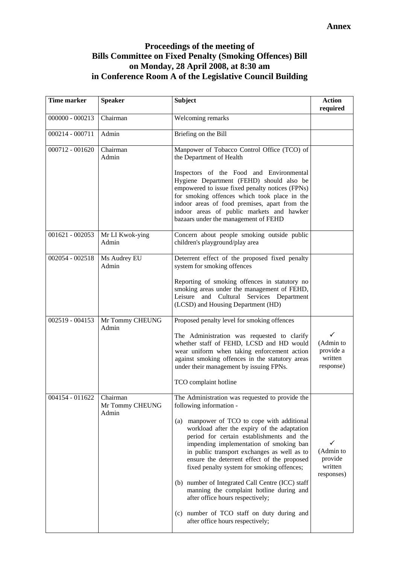# **Proceedings of the meeting of Bills Committee on Fixed Penalty (Smoking Offences) Bill on Monday, 28 April 2008, at 8:30 am in Conference Room A of the Legislative Council Building**

| <b>Time marker</b>                     | <b>Speaker</b>                       | <b>Subject</b>                                                                                                                                                                                                                                                                                                                                                                                                                                                                                                                                                                                                                        | <b>Action</b><br>required                                      |
|----------------------------------------|--------------------------------------|---------------------------------------------------------------------------------------------------------------------------------------------------------------------------------------------------------------------------------------------------------------------------------------------------------------------------------------------------------------------------------------------------------------------------------------------------------------------------------------------------------------------------------------------------------------------------------------------------------------------------------------|----------------------------------------------------------------|
| $000000 - 000213$                      | Chairman                             | Welcoming remarks                                                                                                                                                                                                                                                                                                                                                                                                                                                                                                                                                                                                                     |                                                                |
| 000214 - 000711                        | Admin                                | Briefing on the Bill                                                                                                                                                                                                                                                                                                                                                                                                                                                                                                                                                                                                                  |                                                                |
| $000712 - 001620$<br>$001621 - 002053$ | Chairman<br>Admin                    | Manpower of Tobacco Control Office (TCO) of<br>the Department of Health<br>Inspectors of the Food and Environmental<br>Hygiene Department (FEHD) should also be<br>empowered to issue fixed penalty notices (FPNs)<br>for smoking offences which took place in the<br>indoor areas of food premises, apart from the<br>indoor areas of public markets and hawker<br>bazaars under the management of FEHD<br>Concern about people smoking outside public                                                                                                                                                                               |                                                                |
|                                        | Mr LI Kwok-ying<br>Admin             | children's playground/play area                                                                                                                                                                                                                                                                                                                                                                                                                                                                                                                                                                                                       |                                                                |
| 002054 - 002518                        | Ms Audrey EU<br>Admin                | Deterrent effect of the proposed fixed penalty<br>system for smoking offences<br>Reporting of smoking offences in statutory no<br>smoking areas under the management of FEHD,<br>Leisure and Cultural<br>Services Department<br>(LCSD) and Housing Department (HD)                                                                                                                                                                                                                                                                                                                                                                    |                                                                |
| 002519 - 004153                        | Mr Tommy CHEUNG<br>Admin             | Proposed penalty level for smoking offences<br>The Administration was requested to clarify<br>whether staff of FEHD, LCSD and HD would<br>wear uniform when taking enforcement action<br>against smoking offences in the statutory areas<br>under their management by issuing FPNs.<br>TCO complaint hotline                                                                                                                                                                                                                                                                                                                          | $\checkmark$<br>(Admin to<br>provide a<br>written<br>response) |
| 004154 - 011622                        | Chairman<br>Mr Tommy CHEUNG<br>Admin | The Administration was requested to provide the<br>following information -<br>manpower of TCO to cope with additional<br>(a)<br>workload after the expiry of the adaptation<br>period for certain establishments and the<br>impending implementation of smoking ban<br>in public transport exchanges as well as to<br>ensure the deterrent effect of the proposed<br>fixed penalty system for smoking offences;<br>(b) number of Integrated Call Centre (ICC) staff<br>manning the complaint hotline during and<br>after office hours respectively;<br>(c) number of TCO staff on duty during and<br>after office hours respectively; | ✓<br>(Admin to<br>provide<br>written<br>responses)             |